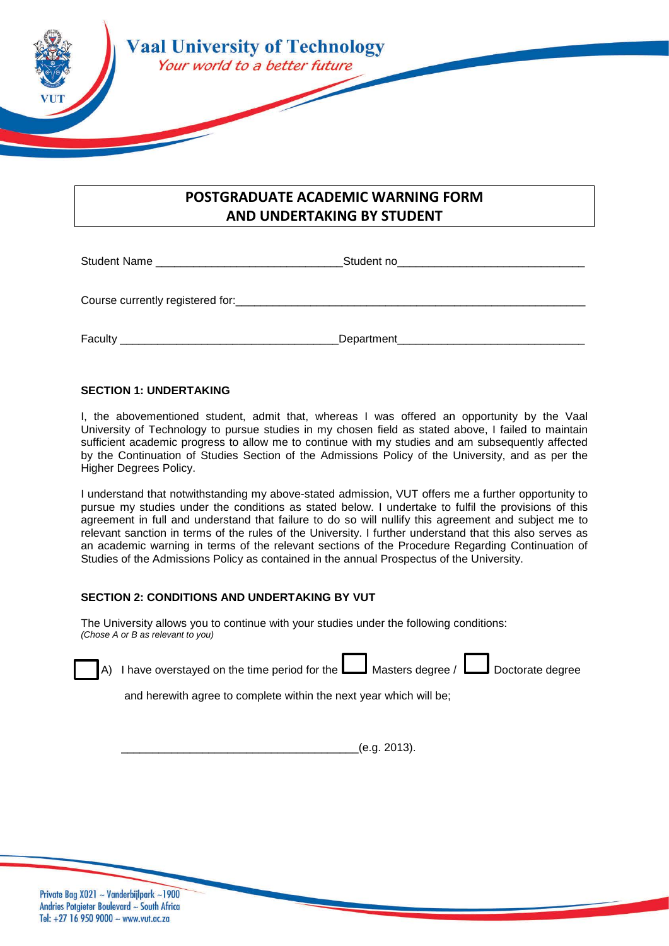

## **POSTGRADUATE ACADEMIC WARNING FORM AND UNDERTAKING BY STUDENT**

Student Name \_\_\_\_\_\_\_\_\_\_\_\_\_\_\_\_\_\_\_\_\_\_\_\_\_\_\_\_\_\_Student no\_\_\_\_\_\_\_\_\_\_\_\_\_\_\_\_\_\_\_\_\_\_\_\_\_\_\_\_\_\_ Course currently registered for:\_\_\_\_\_\_\_\_\_\_\_\_\_\_\_\_\_\_\_\_\_\_\_\_\_\_\_\_\_\_\_\_\_\_\_\_\_\_\_\_\_\_\_\_\_\_\_\_\_\_\_\_\_\_\_\_ Faculty \_\_\_\_\_\_\_\_\_\_\_\_\_\_\_\_\_\_\_\_\_\_\_\_\_\_\_\_\_\_\_\_\_\_\_Department\_\_\_\_\_\_\_\_\_\_\_\_\_\_\_\_\_\_\_\_\_\_\_\_\_\_\_\_\_\_

## **SECTION 1: UNDERTAKING**

I, the abovementioned student, admit that, whereas I was offered an opportunity by the Vaal University of Technology to pursue studies in my chosen field as stated above, I failed to maintain sufficient academic progress to allow me to continue with my studies and am subsequently affected by the Continuation of Studies Section of the Admissions Policy of the University, and as per the Higher Degrees Policy.

I understand that notwithstanding my above-stated admission, VUT offers me a further opportunity to pursue my studies under the conditions as stated below. I undertake to fulfil the provisions of this agreement in full and understand that failure to do so will nullify this agreement and subject me to relevant sanction in terms of the rules of the University. I further understand that this also serves as an academic warning in terms of the relevant sections of the Procedure Regarding Continuation of Studies of the Admissions Policy as contained in the annual Prospectus of the University.

## **SECTION 2: CONDITIONS AND UNDERTAKING BY VUT**

The University allows you to continue with your studies under the following conditions: *(Chose A or B as relevant to you)*

| A) I have overstayed on the time period for the $\Box$ Masters degree / $\Box$ Doctorate degree |  |  |
|-------------------------------------------------------------------------------------------------|--|--|
|                                                                                                 |  |  |

and herewith agree to complete within the next year which will be;

\_\_\_\_\_\_\_\_\_\_\_\_\_\_\_\_\_\_\_\_\_\_\_\_\_\_\_\_\_\_\_\_\_\_\_\_\_\_(e.g. 2013).

Private Bag X021 ~ Vanderbijlpark ~1900 Andries Potgieter Boulevard ~ South Africa Tel: +27 16 950 9000  $\sim$  www.vut.ac.za